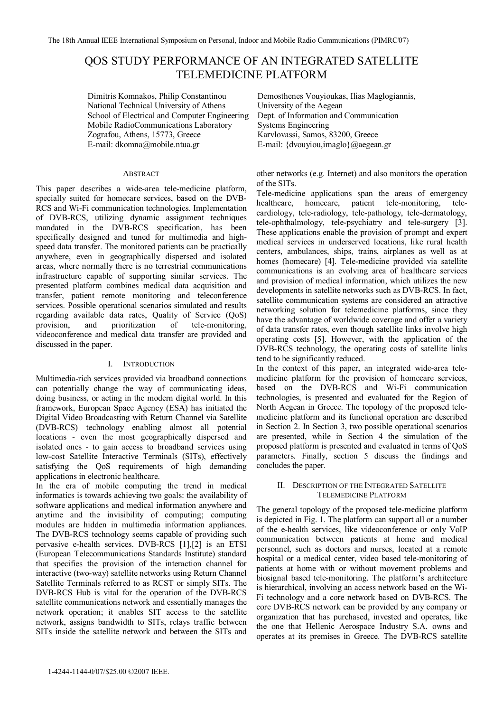# QOS STUDY PERFORMANCE OF AN INTEGRATED SATELLITE TELEMEDICINE PLATFORM

Dimitris Komnakos, Philip Constantinou Demosthenes Vouyioukas, Ilias Maglogiannis, National Technical University of Athens University of the Aegean School of Electrical and Computer Engineering Mobile RadioCommunications Laboratory Zografou, Athens, 15773, Greece E-mail: dkomna@mobile.ntua.gr

# **ABSTRACT**

This paper describes a wide-area tele-medicine platform, specially suited for homecare services, based on the DVB-RCS and Wi-Fi communication technologies. Implementation of DVB-RCS, utilizing dynamic assignment techniques mandated in the DVB-RCS specification, has been specifically designed and tuned for multimedia and highspeed data transfer. The monitored patients can be practically anywhere, even in geographically dispersed and isolated areas, where normally there is no terrestrial communications infrastructure capable of supporting similar services. The presented platform combines medical data acquisition and transfer, patient remote monitoring and teleconference services. Possible operational scenarios simulated and results regarding available data rates, Quality of Service (QoS) provision, and prioritization of tele-monitoring, videoconference and medical data transfer are provided and discussed in the paper.

# I. INTRODUCTION

Multimedia-rich services provided via broadband connections can potentially change the way of communicating ideas, doing business, or acting in the modern digital world. In this framework, European Space Agency (ESA) has initiated the Digital Video Broadcasting with Return Channel via Satellite (DVB-RCS) technology enabling almost all potential locations - even the most geographically dispersed and isolated ones - to gain access to broadband services using low-cost Satellite Interactive Terminals (SITs), effectively satisfying the QoS requirements of high demanding applications in electronic healthcare.

In the era of mobile computing the trend in medical informatics is towards achieving two goals: the availability of software applications and medical information anywhere and anytime and the invisibility of computing; computing modules are hidden in multimedia information appliances. The DVB-RCS technology seems capable of providing such pervasive e-health services. DVB-RCS [1],[2] is an ETSI (European Telecommunications Standards Institute) standard that specifies the provision of the interaction channel for interactive (two-way) satellite networks using Return Channel Satellite Terminals referred to as RCST or simply SITs. The DVB-RCS Hub is vital for the operation of the DVB-RCS satellite communications network and essentially manages the network operation; it enables SIT access to the satellite network, assigns bandwidth to SITs, relays traffic between SITs inside the satellite network and between the SITs and

Dept. of Information and Communication Systems Engineering Karvlovassi, Samos, 83200, Greece E-mail: {dvouyiou,imaglo}@aegean.gr

other networks (e.g. Internet) and also monitors the operation of the SITs.

Tele-medicine applications span the areas of emergency healthcare, homecare, patient tele-monitoring, telecardiology, tele-radiology, tele-pathology, tele-dermatology, tele-ophthalmology, tele-psychiatry and tele-surgery [3]. These applications enable the provision of prompt and expert medical services in underserved locations, like rural health centers, ambulances, ships, trains, airplanes as well as at homes (homecare) [4]. Tele-medicine provided via satellite communications is an evolving area of healthcare services and provision of medical information, which utilizes the new developments in satellite networks such as DVB-RCS. In fact, satellite communication systems are considered an attractive networking solution for telemedicine platforms, since they have the advantage of worldwide coverage and offer a variety of data transfer rates, even though satellite links involve high operating costs [5]. However, with the application of the DVB-RCS technology, the operating costs of satellite links tend to be significantly reduced.

In the context of this paper, an integrated wide-area telemedicine platform for the provision of homecare services, based on the DVB-RCS and Wi-Fi communication technologies, is presented and evaluated for the Region of North Aegean in Greece. The topology of the proposed telemedicine platform and its functional operation are described in Section 2. In Section 3, two possible operational scenarios are presented, while in Section 4 the simulation of the proposed platform is presented and evaluated in terms of QoS parameters. Finally, section 5 discuss the findings and concludes the paper.

# II. DESCRIPTION OF THE INTEGRATED SATELLITE TELEMEDICINE PLATFORM

The general topology of the proposed tele-medicine platform is depicted in Fig. 1. The platform can support all or a number of the e-health services, like videoconference or only VoIP communication between patients at home and medical personnel, such as doctors and nurses, located at a remote hospital or a medical center, video based tele-monitoring of patients at home with or without movement problems and biosignal based tele-monitoring. The platform's architecture is hierarchical, involving an access network based on the Wi-Fi technology and a core network based on DVB-RCS. The core DVB-RCS network can be provided by any company or organization that has purchased, invested and operates, like the one that Hellenic Aerospace Industry S.A. owns and operates at its premises in Greece. The DVB-RCS satellite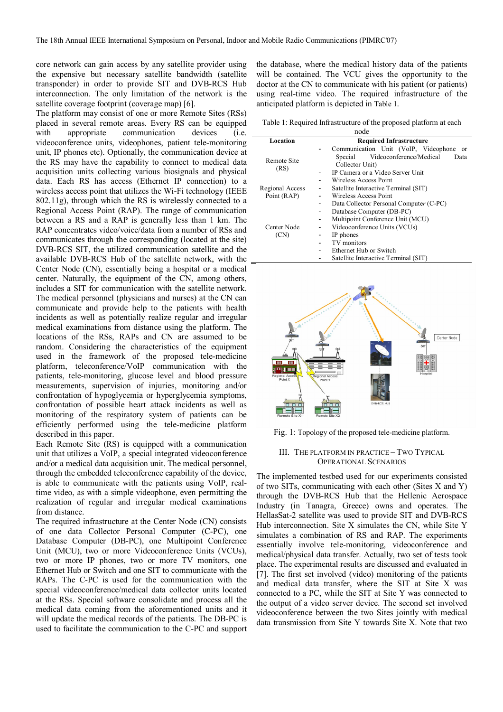core network can gain access by any satellite provider using the expensive but necessary satellite bandwidth (satellite transponder) in order to provide SIT and DVB-RCS Hub interconnection. The only limitation of the network is the satellite coverage footprint (coverage map) [6].

The platform may consist of one or more Remote Sites (RSs) placed in several remote areas. Every RS can be equipped with appropriate communication devices (i.e. videoconference units, videophones, patient tele-monitoring unit, IP phones etc). Optionally, the communication device at the RS may have the capability to connect to medical data acquisition units collecting various biosignals and physical data. Each RS has access (Ethernet IP connection) to a wireless access point that utilizes the Wi-Fi technology (IEEE 802.11g), through which the RS is wirelessly connected to a Regional Access Point (RAP). The range of communication between a RS and a RAP is generally less than 1 km. The RAP concentrates video/voice/data from a number of RSs and communicates through the corresponding (located at the site) DVB-RCS SIT, the utilized communication satellite and the available DVB-RCS Hub of the satellite network, with the Center Node (CN), essentially being a hospital or a medical center. Naturally, the equipment of the CN, among others, includes a SIT for communication with the satellite network. The medical personnel (physicians and nurses) at the CN can communicate and provide help to the patients with health incidents as well as potentially realize regular and irregular medical examinations from distance using the platform. The locations of the RSs, RAPs and CN are assumed to be random. Considering the characteristics of the equipment used in the framework of the proposed tele-medicine platform, teleconference/VoIP communication with the patients, tele-monitoring, glucose level and blood pressure measurements, supervision of injuries, monitoring and/or confrontation of hypoglycemia or hyperglycemia symptoms, confrontation of possible heart attack incidents as well as monitoring of the respiratory system of patients can be efficiently performed using the tele-medicine platform described in this paper.

Each Remote Site (RS) is equipped with a communication unit that utilizes a VoIP, a special integrated videoconference and/or a medical data acquisition unit. The medical personnel, through the embedded teleconference capability of the device, is able to communicate with the patients using VoIP, realtime video, as with a simple videophone, even permitting the realization of regular and irregular medical examinations from distance.

The required infrastructure at the Center Node (CN) consists of one data Collector Personal Computer (C-PC), one Database Computer (DB-PC), one Multipoint Conference Unit (MCU), two or more Videoconference Units (VCUs), two or more IP phones, two or more TV monitors, one Ethernet Hub or Switch and one SIT to communicate with the RAPs. The C-PC is used for the communication with the special videoconference/medical data collector units located at the RSs. Special software consolidate and process all the medical data coming from the aforementioned units and it will update the medical records of the patients. The DB-PC is used to facilitate the communication to the C-PC and support the database, where the medical history data of the patients will be contained. The VCU gives the opportunity to the doctor at the CN to communicate with his patient (or patients) using real-time video. The required infrastructure of the anticipated platform is depicted in Table 1.

Table 1: Required Infrastructure of the proposed platform at each

| node                |                                                          |                                                                                                                        |  |  |
|---------------------|----------------------------------------------------------|------------------------------------------------------------------------------------------------------------------------|--|--|
| Location            |                                                          | <b>Required Infrastructure</b>                                                                                         |  |  |
| Remote Site<br>(RS) |                                                          | Communication Unit (VoIP, Videophone<br><sub>or</sub><br>Videoconference/Medical<br>Special<br>Data<br>Collector Unit) |  |  |
|                     |                                                          | IP Camera or a Video Server Unit                                                                                       |  |  |
| Regional Access     | $\qquad \qquad \blacksquare$                             | Wireless Access Point<br>Satellite Interactive Terminal (SIT)                                                          |  |  |
| Point (RAP)         | $\qquad \qquad \blacksquare$                             | Wireless Access Point                                                                                                  |  |  |
| Center Node<br>(CN) | $\qquad \qquad \blacksquare$<br>$\overline{\phantom{a}}$ | Data Collector Personal Computer (C-PC)<br>Database Computer (DB-PC)                                                   |  |  |
|                     | $\qquad \qquad \blacksquare$                             | Multipoint Conference Unit (MCU)                                                                                       |  |  |
|                     | $\qquad \qquad \blacksquare$                             | Videoconference Units (VCUs)<br>IP phones                                                                              |  |  |
|                     |                                                          | TV monitors                                                                                                            |  |  |
|                     |                                                          | Ethernet Hub or Switch<br>Satellite Interactive Terminal (SIT)                                                         |  |  |



Fig. 1: Topology of the proposed tele-medicine platform.

#### III. THE PLATFORM IN PRACTICE – TWO TYPICAL OPERATIONAL SCENARIOS

The implemented testbed used for our experiments consisted of two SITs, communicating with each other (Sites X and Y) through the DVB-RCS Hub that the Hellenic Aerospace Industry (in Tanagra, Greece) owns and operates. The HellasSat-2 satellite was used to provide SIT and DVB-RCS Hub interconnection. Site X simulates the CN, while Site Y simulates a combination of RS and RAP. The experiments essentially involve tele-monitoring, videoconference and medical/physical data transfer. Actually, two set of tests took place. The experimental results are discussed and evaluated in [7]. The first set involved (video) monitoring of the patients and medical data transfer, where the SIT at Site X was connected to a PC, while the SIT at Site Y was connected to the output of a video server device. The second set involved videoconference between the two Sites jointly with medical data transmission from Site Y towards Site X. Note that two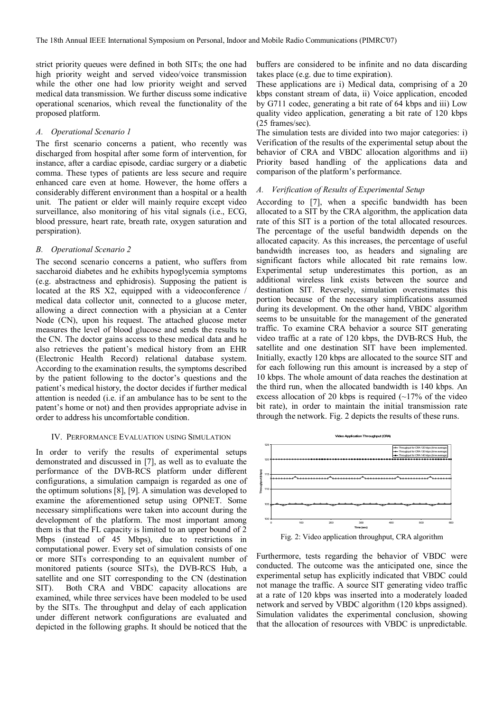strict priority queues were defined in both SITs; the one had high priority weight and served video/voice transmission while the other one had low priority weight and served medical data transmission. We further discuss some indicative operational scenarios, which reveal the functionality of the proposed platform.

## *A. Operational Scenario 1*

The first scenario concerns a patient, who recently was discharged from hospital after some form of intervention, for instance, after a cardiac episode, cardiac surgery or a diabetic comma. These types of patients are less secure and require enhanced care even at home. However, the home offers a considerably different environment than a hospital or a health unit. The patient or elder will mainly require except video surveillance, also monitoring of his vital signals (i.e., ECG, blood pressure, heart rate, breath rate, oxygen saturation and perspiration).

## *B. Operational Scenario 2*

The second scenario concerns a patient, who suffers from saccharoid diabetes and he exhibits hypoglycemia symptoms (e.g. abstractness and ephidrosis). Supposing the patient is located at the RS X2, equipped with a videoconference / medical data collector unit, connected to a glucose meter, allowing a direct connection with a physician at a Center Node (CN), upon his request. The attached glucose meter measures the level of blood glucose and sends the results to the CN. The doctor gains access to these medical data and he also retrieves the patient's medical history from an EHR (Electronic Health Record) relational database system. According to the examination results, the symptoms described by the patient following to the doctor's questions and the patient's medical history, the doctor decides if further medical attention is needed (i.e. if an ambulance has to be sent to the patent's home or not) and then provides appropriate advise in order to address his uncomfortable condition.

#### IV. PERFORMANCE EVALUATION USING SIMULATION

In order to verify the results of experimental setups demonstrated and discussed in [7], as well as to evaluate the performance of the DVB-RCS platform under different configurations, a simulation campaign is regarded as one of the optimum solutions [8], [9]. A simulation was developed to examine the aforementioned setup using OPNET. Some necessary simplifications were taken into account during the development of the platform. The most important among them is that the FL capacity is limited to an upper bound of 2 Mbps (instead of 45 Mbps), due to restrictions in computational power. Every set of simulation consists of one or more SITs corresponding to an equivalent number of monitored patients (source SITs), the DVB-RCS Hub, a satellite and one SIT corresponding to the CN (destination SIT). Both CRA and VBDC capacity allocations are examined, while three services have been modeled to be used by the SITs. The throughput and delay of each application under different network configurations are evaluated and depicted in the following graphs. It should be noticed that the buffers are considered to be infinite and no data discarding takes place (e.g. due to time expiration).

These applications are i) Medical data, comprising of a 20 kbps constant stream of data, ii) Voice application, encoded by G711 codec, generating a bit rate of 64 kbps and iii) Low quality video application, generating a bit rate of 120 kbps (25 frames/sec).

The simulation tests are divided into two major categories: i) Verification of the results of the experimental setup about the behavior of CRA and VBDC allocation algorithms and ii) Priority based handling of the applications data and comparison of the platform's performance.

# *A. Verification of Results of Experimental Setup*

According to [7], when a specific bandwidth has been allocated to a SIT by the CRA algorithm, the application data rate of this SIT is a portion of the total allocated resources. The percentage of the useful bandwidth depends on the allocated capacity. As this increases, the percentage of useful bandwidth increases too, as headers and signaling are significant factors while allocated bit rate remains low. Experimental setup underestimates this portion, as an additional wireless link exists between the source and destination SIT. Reversely, simulation overestimates this portion because of the necessary simplifications assumed during its development. On the other hand, VBDC algorithm seems to be unsuitable for the management of the generated traffic. To examine CRA behavior a source SIT generating video traffic at a rate of 120 kbps, the DVB-RCS Hub, the satellite and one destination SIT have been implemented. Initially, exactly 120 kbps are allocated to the source SIT and for each following run this amount is increased by a step of 10 kbps. The whole amount of data reaches the destination at the third run, when the allocated bandwidth is 140 kbps. An excess allocation of 20 kbps is required  $(-17\% \text{ of the video})$ bit rate), in order to maintain the initial transmission rate through the network. Fig. 2 depicts the results of these runs.



Fig. 2: Video application throughput, CRA algorithm

Furthermore, tests regarding the behavior of VBDC were conducted. The outcome was the anticipated one, since the experimental setup has explicitly indicated that VBDC could not manage the traffic. A source SIT generating video traffic at a rate of 120 kbps was inserted into a moderately loaded network and served by VBDC algorithm (120 kbps assigned). Simulation validates the experimental conclusion, showing that the allocation of resources with VBDC is unpredictable.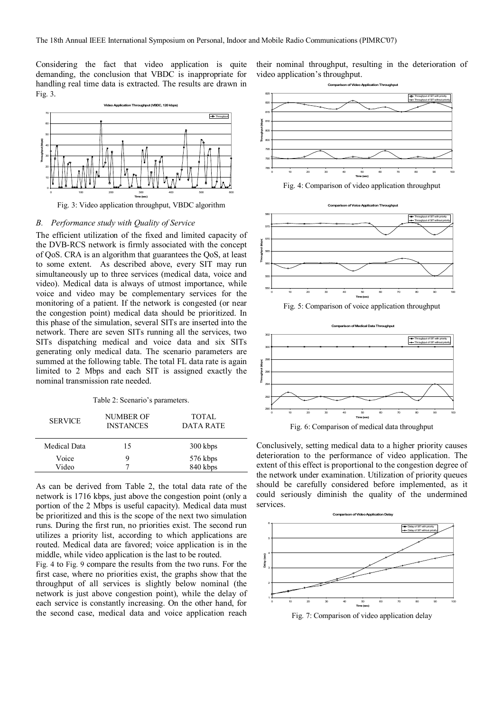Considering the fact that video application is quite demanding, the conclusion that VBDC is inappropriate for handling real time data is extracted. The results are drawn in Fig. 3.



Fig. 3: Video application throughput, VBDC algorithm

## *B. Performance study with Quality of Service*

The efficient utilization of the fixed and limited capacity of the DVB-RCS network is firmly associated with the concept of QoS. CRA is an algorithm that guarantees the QoS, at least to some extent. As described above, every SIT may run simultaneously up to three services (medical data, voice and video). Medical data is always of utmost importance, while voice and video may be complementary services for the monitoring of a patient. If the network is congested (or near the congestion point) medical data should be prioritized. In this phase of the simulation, several SITs are inserted into the network. There are seven SITs running all the services, two SITs dispatching medical and voice data and six SITs generating only medical data. The scenario parameters are summed at the following table. The total FL data rate is again limited to 2 Mbps and each SIT is assigned exactly the nominal transmission rate needed.

#### Table 2: Scenario's parameters.

| <b>SERVICE</b>      | NUMBER OF<br><b>INSTANCES</b> | <b>TOTAL</b><br><b>DATA RATE</b> |
|---------------------|-------------------------------|----------------------------------|
| <b>Medical Data</b> | 15                            | 300 kbps                         |
| Voice               | Q                             | 576 kbps                         |
| Video               |                               | 840 kbps                         |

As can be derived from Table 2, the total data rate of the network is 1716 kbps, just above the congestion point (only a portion of the 2 Mbps is useful capacity). Medical data must be prioritized and this is the scope of the next two simulation runs. During the first run, no priorities exist. The second run utilizes a priority list, according to which applications are routed. Medical data are favored; voice application is in the middle, while video application is the last to be routed.

Fig. 4 to Fig. 9 compare the results from the two runs. For the first case, where no priorities exist, the graphs show that the throughput of all services is slightly below nominal (the network is just above congestion point), while the delay of each service is constantly increasing. On the other hand, for the second case, medical data and voice application reach their nominal throughput, resulting in the deterioration of video application's throughput.



Fig. 4: Comparison of video application throughput









Conclusively, setting medical data to a higher priority causes deterioration to the performance of video application. The extent of this effect is proportional to the congestion degree of the network under examination. Utilization of priority queues should be carefully considered before implemented, as it could seriously diminish the quality of the undermined services.



Fig. 7: Comparison of video application delay